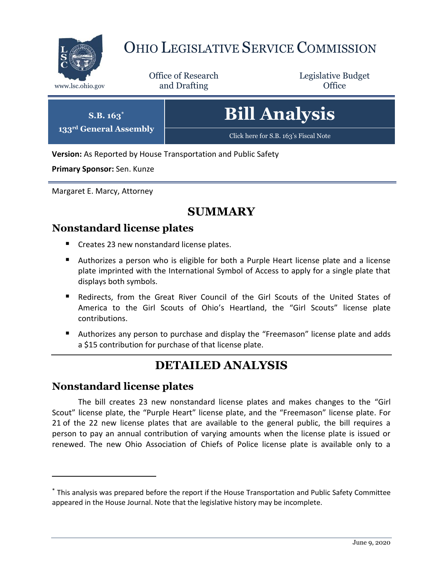

# OHIO LEGISLATIVE SERVICE COMMISSION

Office of Research www.lsc.ohio.gov **and Drafting Office** 

Legislative Budget

| $S.B. 163^*$                       | <b>Bill Analysis</b>                  |
|------------------------------------|---------------------------------------|
| 133 <sup>rd</sup> General Assembly | Click here for S.B. 163's Fiscal Note |

**Version:** As Reported by House Transportation and Public Safety

**Primary Sponsor:** Sen. Kunze

Margaret E. Marcy, Attorney

## **SUMMARY**

### **Nonstandard license plates**

- Creates 23 new nonstandard license plates.
- Authorizes a person who is eligible for both a Purple Heart license plate and a license plate imprinted with the International Symbol of Access to apply for a single plate that displays both symbols.
- Redirects, from the Great River Council of the Girl Scouts of the United States of America to the Girl Scouts of Ohio's Heartland, the "Girl Scouts" license plate contributions.
- Authorizes any person to purchase and display the "Freemason" license plate and adds a \$15 contribution for purchase of that license plate.

## **DETAILED ANALYSIS**

#### **Nonstandard license plates**

 $\overline{a}$ 

The bill creates 23 new nonstandard license plates and makes changes to the "Girl Scout" license plate, the "Purple Heart" license plate, and the "Freemason" license plate. For 21 of the 22 new license plates that are available to the general public, the bill requires a person to pay an annual contribution of varying amounts when the license plate is issued or renewed. The new Ohio Association of Chiefs of Police license plate is available only to a

<sup>\*</sup> This analysis was prepared before the report if the House Transportation and Public Safety Committee appeared in the House Journal. Note that the legislative history may be incomplete.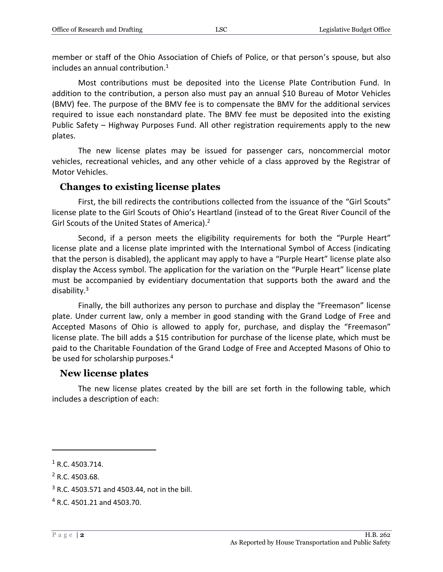member or staff of the Ohio Association of Chiefs of Police, or that person's spouse, but also includes an annual contribution.<sup>1</sup>

Most contributions must be deposited into the License Plate Contribution Fund. In addition to the contribution, a person also must pay an annual \$10 Bureau of Motor Vehicles (BMV) fee. The purpose of the BMV fee is to compensate the BMV for the additional services required to issue each nonstandard plate. The BMV fee must be deposited into the existing Public Safety – Highway Purposes Fund. All other registration requirements apply to the new plates.

The new license plates may be issued for passenger cars, noncommercial motor vehicles, recreational vehicles, and any other vehicle of a class approved by the Registrar of Motor Vehicles.

#### **Changes to existing license plates**

First, the bill redirects the contributions collected from the issuance of the "Girl Scouts" license plate to the Girl Scouts of Ohio's Heartland (instead of to the Great River Council of the Girl Scouts of the United States of America).<sup>2</sup>

Second, if a person meets the eligibility requirements for both the "Purple Heart" license plate and a license plate imprinted with the International Symbol of Access (indicating that the person is disabled), the applicant may apply to have a "Purple Heart" license plate also display the Access symbol. The application for the variation on the "Purple Heart" license plate must be accompanied by evidentiary documentation that supports both the award and the disability.<sup>3</sup>

Finally, the bill authorizes any person to purchase and display the "Freemason" license plate. Under current law, only a member in good standing with the Grand Lodge of Free and Accepted Masons of Ohio is allowed to apply for, purchase, and display the "Freemason" license plate. The bill adds a \$15 contribution for purchase of the license plate, which must be paid to the Charitable Foundation of the Grand Lodge of Free and Accepted Masons of Ohio to be used for scholarship purposes.<sup>4</sup>

#### **New license plates**

The new license plates created by the bill are set forth in the following table, which includes a description of each:

 $1$  R.C. 4503.714.

<sup>2</sup> R.C. 4503.68.

 $3$  R.C. 4503.571 and 4503.44, not in the bill.

<sup>4</sup> R.C. 4501.21 and 4503.70.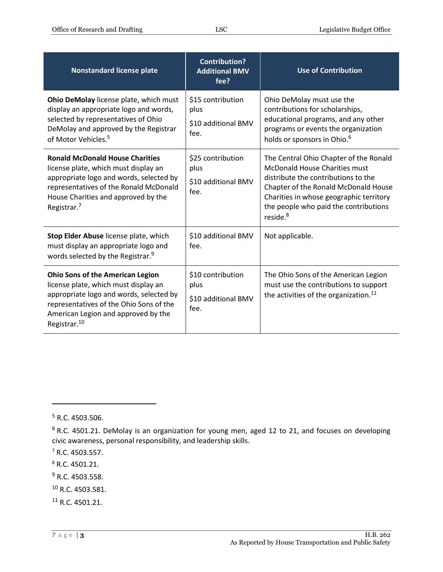| <b>Nonstandard license plate</b>                                                                                                                                                                                                         | <b>Contribution?</b><br><b>Additional BMV</b><br>fee?    | <b>Use of Contribution</b>                                                                                                                                                                                                                                                |
|------------------------------------------------------------------------------------------------------------------------------------------------------------------------------------------------------------------------------------------|----------------------------------------------------------|---------------------------------------------------------------------------------------------------------------------------------------------------------------------------------------------------------------------------------------------------------------------------|
| Ohio DeMolay license plate, which must<br>display an appropriate logo and words,<br>selected by representatives of Ohio<br>DeMolay and approved by the Registrar<br>of Motor Vehicles. <sup>5</sup>                                      | \$15 contribution<br>plus<br>\$10 additional BMV<br>fee. | Ohio DeMolay must use the<br>contributions for scholarships,<br>educational programs, and any other<br>programs or events the organization<br>holds or sponsors in Ohio. <sup>6</sup>                                                                                     |
| <b>Ronald McDonald House Charities</b><br>license plate, which must display an<br>appropriate logo and words, selected by<br>representatives of the Ronald McDonald<br>House Charities and approved by the<br>Registrar. <sup>7</sup>    | \$25 contribution<br>plus<br>\$10 additional BMV<br>fee. | The Central Ohio Chapter of the Ronald<br><b>McDonald House Charities must</b><br>distribute the contributions to the<br>Chapter of the Ronald McDonald House<br>Charities in whose geographic territory<br>the people who paid the contributions<br>reside. <sup>8</sup> |
| Stop Elder Abuse license plate, which<br>must display an appropriate logo and<br>words selected by the Registrar. <sup>9</sup>                                                                                                           | \$10 additional BMV<br>fee.                              | Not applicable.                                                                                                                                                                                                                                                           |
| <b>Ohio Sons of the American Legion</b><br>license plate, which must display an<br>appropriate logo and words, selected by<br>representatives of the Ohio Sons of the<br>American Legion and approved by the<br>Registrar. <sup>10</sup> | \$10 contribution<br>plus<br>\$10 additional BMV<br>fee. | The Ohio Sons of the American Legion<br>must use the contributions to support<br>the activities of the organization. <sup>11</sup>                                                                                                                                        |

- <sup>9</sup> R.C. 4503.558.
- <sup>10</sup> R.C. 4503.581.
- <sup>11</sup> R.C. 4501.21.

 $5$  R.C. 4503.506.

 $6$  R.C. 4501.21. DeMolay is an organization for young men, aged 12 to 21, and focuses on developing civic awareness, personal responsibility, and leadership skills.

<sup>7</sup> R.C. 4503.557.

<sup>8</sup> R.C. 4501.21.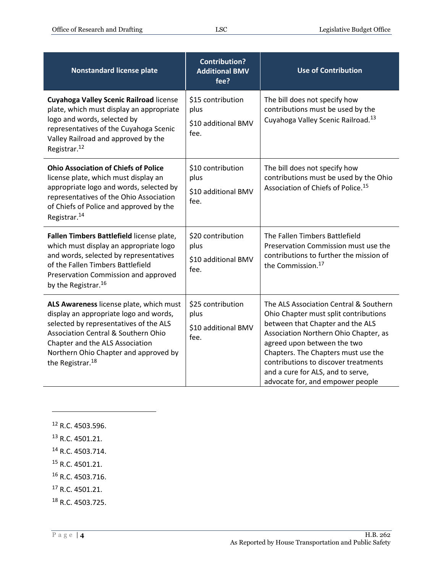| <b>Nonstandard license plate</b>                                                                                                                                                                                                                                                          | <b>Contribution?</b><br><b>Additional BMV</b><br>fee?    | <b>Use of Contribution</b>                                                                                                                                                                                                                                                                                                                          |
|-------------------------------------------------------------------------------------------------------------------------------------------------------------------------------------------------------------------------------------------------------------------------------------------|----------------------------------------------------------|-----------------------------------------------------------------------------------------------------------------------------------------------------------------------------------------------------------------------------------------------------------------------------------------------------------------------------------------------------|
| <b>Cuyahoga Valley Scenic Railroad license</b><br>plate, which must display an appropriate<br>logo and words, selected by<br>representatives of the Cuyahoga Scenic<br>Valley Railroad and approved by the<br>Registrar. <sup>12</sup>                                                    | \$15 contribution<br>plus<br>\$10 additional BMV<br>fee. | The bill does not specify how<br>contributions must be used by the<br>Cuyahoga Valley Scenic Railroad. <sup>13</sup>                                                                                                                                                                                                                                |
| <b>Ohio Association of Chiefs of Police</b><br>license plate, which must display an<br>appropriate logo and words, selected by<br>representatives of the Ohio Association<br>of Chiefs of Police and approved by the<br>Registrar. <sup>14</sup>                                          | \$10 contribution<br>plus<br>\$10 additional BMV<br>fee. | The bill does not specify how<br>contributions must be used by the Ohio<br>Association of Chiefs of Police. <sup>15</sup>                                                                                                                                                                                                                           |
| Fallen Timbers Battlefield license plate,<br>which must display an appropriate logo<br>and words, selected by representatives<br>of the Fallen Timbers Battlefield<br>Preservation Commission and approved<br>by the Registrar. <sup>16</sup>                                             | \$20 contribution<br>plus<br>\$10 additional BMV<br>fee. | The Fallen Timbers Battlefield<br>Preservation Commission must use the<br>contributions to further the mission of<br>the Commission. <sup>17</sup>                                                                                                                                                                                                  |
| ALS Awareness license plate, which must<br>display an appropriate logo and words,<br>selected by representatives of the ALS<br><b>Association Central &amp; Southern Ohio</b><br>Chapter and the ALS Association<br>Northern Ohio Chapter and approved by<br>the Registrar. <sup>18</sup> | \$25 contribution<br>plus<br>\$10 additional BMV<br>fee. | The ALS Association Central & Southern<br>Ohio Chapter must split contributions<br>between that Chapter and the ALS<br>Association Northern Ohio Chapter, as<br>agreed upon between the two<br>Chapters. The Chapters must use the<br>contributions to discover treatments<br>and a cure for ALS, and to serve,<br>advocate for, and empower people |

<sup>12</sup> R.C. 4503.596.

 $\overline{a}$ 

<sup>13</sup> R.C. 4501.21.

<sup>14</sup> R.C. 4503.714.

- <sup>15</sup> R.C. 4501.21.
- <sup>16</sup> R.C. 4503.716.
- <sup>17</sup> R.C. 4501.21.
- <sup>18</sup> R.C. 4503.725.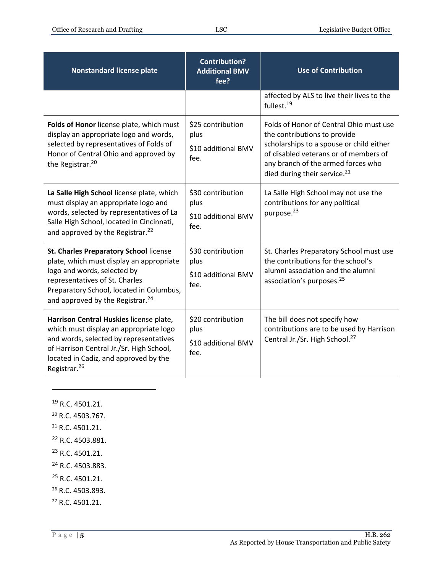| Nonstandard license plate                                                                                                                                                                                                                       | <b>Contribution?</b><br><b>Additional BMV</b><br>fee?    | <b>Use of Contribution</b>                                                                                                                                                                                                                     |
|-------------------------------------------------------------------------------------------------------------------------------------------------------------------------------------------------------------------------------------------------|----------------------------------------------------------|------------------------------------------------------------------------------------------------------------------------------------------------------------------------------------------------------------------------------------------------|
|                                                                                                                                                                                                                                                 |                                                          | affected by ALS to live their lives to the<br>fullest. <sup>19</sup>                                                                                                                                                                           |
| Folds of Honor license plate, which must<br>display an appropriate logo and words,<br>selected by representatives of Folds of<br>Honor of Central Ohio and approved by<br>the Registrar. <sup>20</sup>                                          | \$25 contribution<br>plus<br>\$10 additional BMV<br>fee. | Folds of Honor of Central Ohio must use<br>the contributions to provide<br>scholarships to a spouse or child either<br>of disabled veterans or of members of<br>any branch of the armed forces who<br>died during their service. <sup>21</sup> |
| La Salle High School license plate, which<br>must display an appropriate logo and<br>words, selected by representatives of La<br>Salle High School, located in Cincinnati,<br>and approved by the Registrar. <sup>22</sup>                      | \$30 contribution<br>plus<br>\$10 additional BMV<br>fee. | La Salle High School may not use the<br>contributions for any political<br>purpose. <sup>23</sup>                                                                                                                                              |
| St. Charles Preparatory School license<br>plate, which must display an appropriate<br>logo and words, selected by<br>representatives of St. Charles<br>Preparatory School, located in Columbus,<br>and approved by the Registrar. <sup>24</sup> | \$30 contribution<br>plus<br>\$10 additional BMV<br>fee. | St. Charles Preparatory School must use<br>the contributions for the school's<br>alumni association and the alumni<br>association's purposes. <sup>25</sup>                                                                                    |
| Harrison Central Huskies license plate,<br>which must display an appropriate logo<br>and words, selected by representatives<br>of Harrison Central Jr./Sr. High School,<br>located in Cadiz, and approved by the<br>Registrar. <sup>26</sup>    | \$20 contribution<br>plus<br>\$10 additional BMV<br>fee. | The bill does not specify how<br>contributions are to be used by Harrison<br>Central Jr./Sr. High School. <sup>27</sup>                                                                                                                        |

<sup>19</sup> R.C. 4501.21.

- <sup>20</sup> R.C. 4503.767.
- <sup>21</sup> R.C. 4501.21.
- <sup>22</sup> R.C. 4503.881.
- <sup>23</sup> R.C. 4501.21.
- <sup>24</sup> R.C. 4503.883.
- <sup>25</sup> R.C. 4501.21.
- <sup>26</sup> R.C. 4503.893.
- <sup>27</sup> R.C. 4501.21.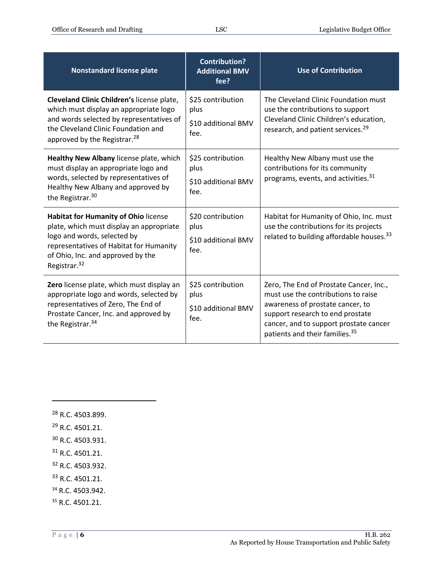| <b>Nonstandard license plate</b>                                                                                                                                                                                                   | <b>Contribution?</b><br><b>Additional BMV</b><br>fee?    | <b>Use of Contribution</b>                                                                                                                                                                                                                     |
|------------------------------------------------------------------------------------------------------------------------------------------------------------------------------------------------------------------------------------|----------------------------------------------------------|------------------------------------------------------------------------------------------------------------------------------------------------------------------------------------------------------------------------------------------------|
| Cleveland Clinic Children's license plate,<br>which must display an appropriate logo<br>and words selected by representatives of<br>the Cleveland Clinic Foundation and<br>approved by the Registrar. <sup>28</sup>                | \$25 contribution<br>plus<br>\$10 additional BMV<br>fee. | The Cleveland Clinic Foundation must<br>use the contributions to support<br>Cleveland Clinic Children's education,<br>research, and patient services. <sup>29</sup>                                                                            |
| Healthy New Albany license plate, which<br>must display an appropriate logo and<br>words, selected by representatives of<br>Healthy New Albany and approved by<br>the Registrar. <sup>30</sup>                                     | \$25 contribution<br>plus<br>\$10 additional BMV<br>fee. | Healthy New Albany must use the<br>contributions for its community<br>programs, events, and activities. <sup>31</sup>                                                                                                                          |
| <b>Habitat for Humanity of Ohio license</b><br>plate, which must display an appropriate<br>logo and words, selected by<br>representatives of Habitat for Humanity<br>of Ohio, Inc. and approved by the<br>Registrar. <sup>32</sup> | \$20 contribution<br>plus<br>\$10 additional BMV<br>fee. | Habitat for Humanity of Ohio, Inc. must<br>use the contributions for its projects<br>related to building affordable houses. <sup>33</sup>                                                                                                      |
| Zero license plate, which must display an<br>appropriate logo and words, selected by<br>representatives of Zero, The End of<br>Prostate Cancer, Inc. and approved by<br>the Registrar. <sup>34</sup>                               | \$25 contribution<br>plus<br>\$10 additional BMV<br>fee. | Zero, The End of Prostate Cancer, Inc.,<br>must use the contributions to raise<br>awareness of prostate cancer, to<br>support research to end prostate<br>cancer, and to support prostate cancer<br>patients and their families. <sup>35</sup> |

<sup>28</sup> R.C. 4503.899. <sup>29</sup> R.C. 4501.21.

- <sup>30</sup> R.C. 4503.931.
- <sup>31</sup> R.C. 4501.21.
- <sup>32</sup> R.C. 4503.932.
- <sup>33</sup> R.C. 4501.21.
- <sup>34</sup> R.C. 4503.942.
- <sup>35</sup> R.C. 4501.21.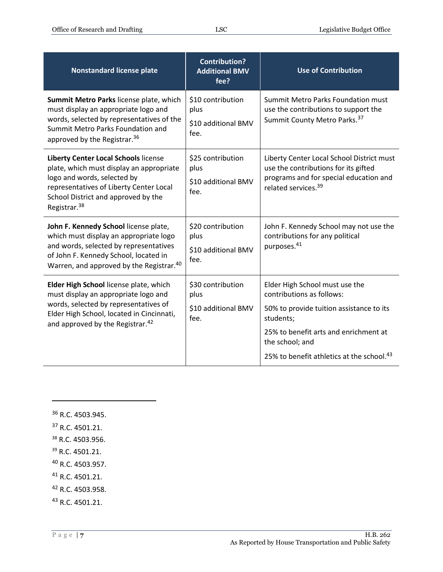| <b>Nonstandard license plate</b>                                                                                                                                                                                                     | <b>Contribution?</b><br><b>Additional BMV</b><br>fee?    | <b>Use of Contribution</b>                                                                                                                                                                                                                |
|--------------------------------------------------------------------------------------------------------------------------------------------------------------------------------------------------------------------------------------|----------------------------------------------------------|-------------------------------------------------------------------------------------------------------------------------------------------------------------------------------------------------------------------------------------------|
| Summit Metro Parks license plate, which<br>must display an appropriate logo and<br>words, selected by representatives of the<br>Summit Metro Parks Foundation and<br>approved by the Registrar. <sup>36</sup>                        | \$10 contribution<br>plus<br>\$10 additional BMV<br>fee. | Summit Metro Parks Foundation must<br>use the contributions to support the<br>Summit County Metro Parks. 37                                                                                                                               |
| <b>Liberty Center Local Schools license</b><br>plate, which must display an appropriate<br>logo and words, selected by<br>representatives of Liberty Center Local<br>School District and approved by the<br>Registrar. <sup>38</sup> | \$25 contribution<br>plus<br>\$10 additional BMV<br>fee. | Liberty Center Local School District must<br>use the contributions for its gifted<br>programs and for special education and<br>related services. <sup>39</sup>                                                                            |
| John F. Kennedy School license plate,<br>which must display an appropriate logo<br>and words, selected by representatives<br>of John F. Kennedy School, located in<br>Warren, and approved by the Registrar. <sup>40</sup>           | \$20 contribution<br>plus<br>\$10 additional BMV<br>fee. | John F. Kennedy School may not use the<br>contributions for any political<br>purposes. <sup>41</sup>                                                                                                                                      |
| Elder High School license plate, which<br>must display an appropriate logo and<br>words, selected by representatives of<br>Elder High School, located in Cincinnati,<br>and approved by the Registrar. <sup>42</sup>                 | \$30 contribution<br>plus<br>\$10 additional BMV<br>fee. | Elder High School must use the<br>contributions as follows:<br>50% to provide tuition assistance to its<br>students;<br>25% to benefit arts and enrichment at<br>the school; and<br>25% to benefit athletics at the school. <sup>43</sup> |

 R.C. 4503.945. R.C. 4501.21. R.C. 4503.956. R.C. 4501.21. R.C. 4503.957. R.C. 4501.21. R.C. 4503.958. R.C. 4501.21.